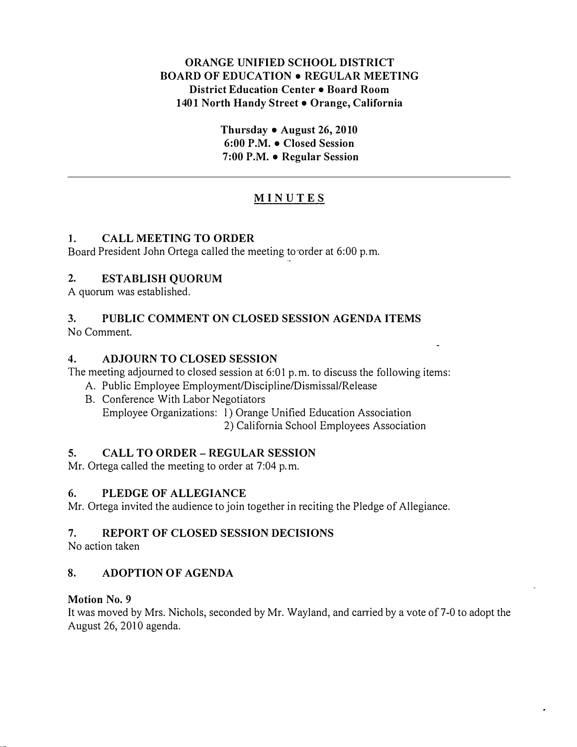## ORANGE UNIFIED SCHOOL DISTRICT BOARD OF EDUCATION • REGULAR MEETING District Education Center • Board Room 1401 North Handy Street . Orange, California

Thursday • August 26, 2010 6:00 P.M. • Closed Session 7:00 P.M. • Regular Session

## MINUTES

## l. CALL MEETING TO ORDER

Board President John Ortega called the meeting to-order at 6:00 p.m.

## 2. ESTABLISH QUORUM

A quorum was established.

# 3. PUBLIC COMMENT ON CLOSED SESSION AGENDA ITEMS

No Comment.

## 4. ADJOURN TO CLOSED SESSION

The meeting adjourned to closed session at 6:01 p.m. to discuss the following items:

- A. Public Employee Employment/Discipline/Dismissal/Release
- B. Conference With Labor Negotiators Employee Organizations: l) Orange Unified Education Association 2) California School Employees Association

## 5. CALL TO ORDER- REGULAR SESSION

Mr. Ortega called the meeting to order at 7:04 p.m.

## 6. PLEDGE OF ALLEGIANCE

Mr. Ortega invited the audience to join together in reciting the Pledge of Allegiance.

## 7. REPORT OF CLOSED SESSION DECISIONS

No action taken

## 8. ADOPTION OF AGENDA

## Motion No. 9

It was moved by Mrs. Nichols, seconded by Mr. Wayland, and carried by a vote of 7-0 to adopt the August 26, 2010 agenda.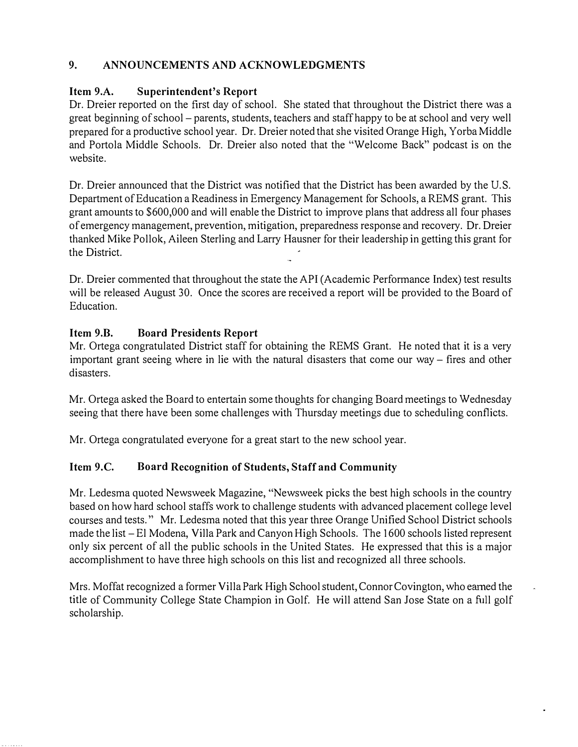## 9. ANNOUNCEMENTS AND ACKNOWLEDGMENTS

## Item 9.A. Superintendent's Report

Dr. Dreier reported on the first day of school. She stated that throughout the District there was a great beginning of school- parents, students, teachers and staff happy to be at school and very well prepared for a productive school year. Dr. Dreier noted that she visited Orange High, Yorba Middle and Portola Middle Schools. Dr. Dreier also noted that the "Welcome Back" podcast is on the website.

Dr. Dreier announced that the District was notified that the District has been awarded by the U.S. Department of Education a Readiness in Emergency Management for Schools, a REMS grant. This grant amounts to \$600,000 and will enable the District to improve plans that address all four phases of emergency management, prevention, mitigation, preparedness response and recovery. Dr. Dreier thanked Mike Pollok, Aileen Sterling and Larry Hausner for their leadership in getting this grant for the District.

Dr. Dreier commented that throughout the state the API (Academic Performance Index) test results will be released August 30. Once the scores are received a report will be provided to the Board of Education.

## Item 9.B. Board Presidents Report

Mr. Ortega congratulated District staff for obtaining the REMS Grant. He noted that it is a very important grant seeing where in lie with the natural disasters that come our way- fires and other disasters.

Mr. Ortega asked the Board to entertain some thoughts for changing Board meetings to Wednesday seeing that there have been some challenges with Thursday meetings due to scheduling conflicts.

Mr. Ortega congratulated everyone for a great start to the new school year.

## Item 9.C. Board Recognition of Students, Staff and Community

Mr. Ledesma quoted Newsweek Magazine, "Newsweek picks the best high schools in the country based on how hard school staffs work to challenge students with advanced placement college level courses and tests." Mr. Ledesma noted that this year three Orange Unified School District schools made the list- El Modena, Villa Park and Canyon High Schools. The 1 600 schools listed represent only six percent of all the public schools in the United States. He expressed that this is a major accomplishment to have three high schools on this list and recognized all three schools.

Mrs. Moffat recognized a former Villa Park High School student, Connor Covington, who earned the title of Community College State Champion in Golf. He will attend San Jose State on a full golf scholarship.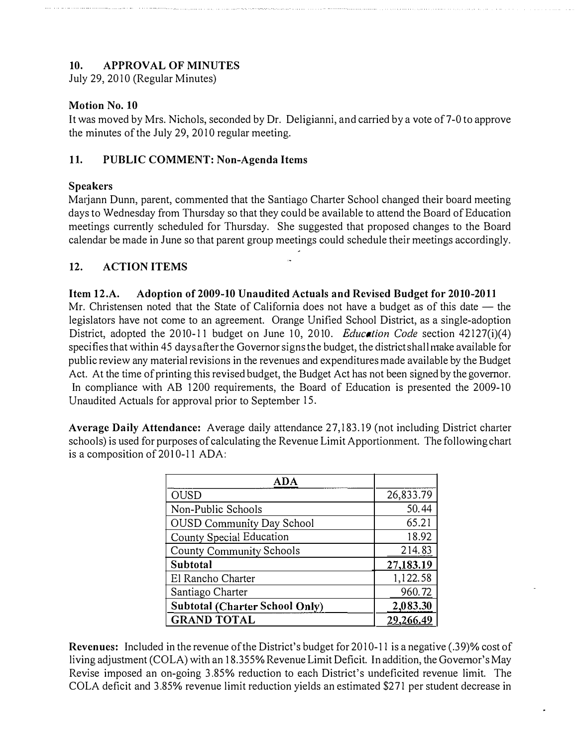## 10. APPROVAL OF MINUTES

July 29, 2010 (Regular Minutes)

#### Motion No. 10

It was moved by Mrs. Nichols, seconded by Dr. Deligianni, and carried by a vote of 7 -0 to approve the minutes of the July 29, 2010 regular meeting.

## 11. PUBLIC COMMENT: Non-Agenda Items

#### Speakers

Matjann Dunn, parent, commented that the Santiago Charter School changed their board meeting days to Wednesday from Thursday so that they could be available to attend the Board of Education meetings currently scheduled for Thursday. She suggested that proposed changes to the Board calendar be made in June so that parent group meetings could schedule their meetings accordingly.

## 12. ACTION ITEMS

#### Item 12.A. Adoption of 2009-10 Unaudited Actuals and Revised Budget for 2010-2011

Mr. Christensen noted that the State of California does not have a budget as of this date — the legislators have not come to an agreement. Orange Unified School District, as a single-adoption District, adopted the 2010-11 budget on June 10, 2010. *Education Code* section 42127(i)(4) specifies that within 45 days after the Governor signs the budget, the district shall make available for public review any material revisions in the revenues and expenditures made available by the Budget Act. At the time of printing this revised budget, the Budget Act has not been signed by the governor. In compliance with AB 1200 requirements, the Board of Education is presented the 2009-10 Unaudited Actuals for approval prior to September 15.

Average Daily Attendance: Average daily attendance 27,183.19 (not including District charter schools) is used for purposes of calculating the Revenue Limit Apportionment. The following chart is a composition of 2010-11 ADA:

| ADA                                   |           |
|---------------------------------------|-----------|
| <b>OUSD</b>                           | 26,833.79 |
| Non-Public Schools                    | 50.44     |
| <b>OUSD Community Day School</b>      | 65.21     |
| County Special Education              | 18.92     |
| <b>County Community Schools</b>       | 214.83    |
| Subtotal                              | 27,183.19 |
| El Rancho Charter                     | 1,122.58  |
| Santiago Charter                      | 960.72    |
| <b>Subtotal (Charter School Only)</b> | 2,083.30  |
| <b>GRAND TOTAL</b>                    |           |

Revenues: Included in the revenue of the District's budget for 2010-11 is a negative (.39)% cost of living adjustment (COLA) with an 18.355% Revenue Limit Deficit. In addition, the Governor's May Revise imposed an on-going 3.85% reduction to each District's undeficited revenue limit. The COLA deficit and 3.85% revenue limit reduction yields an estimated \$271 per student decrease in

l,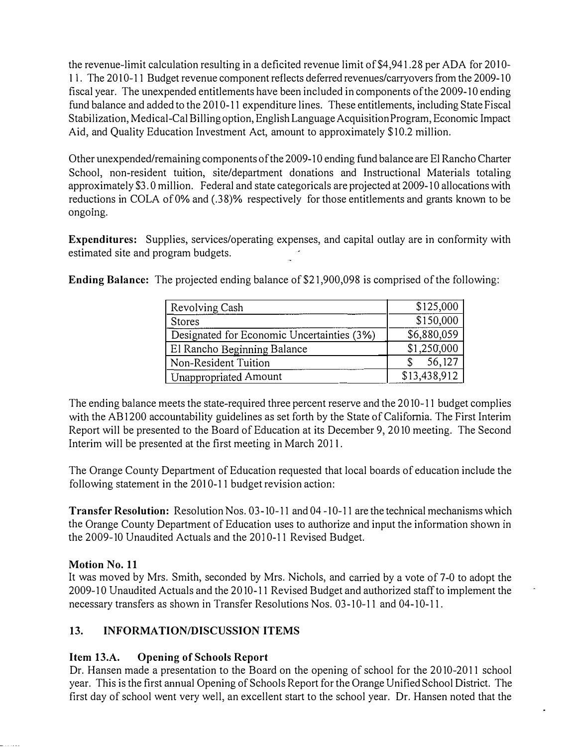the revenue-limit calculation resulting in a deficited revenue limit of \$4,941.28 per ADA for 2010-11. The 2010-11 Budget revenue component reflects deferred revenues/carryovers from the 2009-10 fiscal year. The unexpended entitlements have been included in components of the 2009-10 ending fund balance and added to the 2010-11 expenditure lines. These entitlements, including State Fiscal Stabilization, Medical-Cal Billing option, English Language Acquisition Program, Economic Impact Aid, and Quality Education Investment Act, amount to approximately \$10.2 million.

Other unexpended/remaining components of the 2009-10 ending fund balance are El Rancho Charter School, non-resident tuition, site/department donations and Instructional Materials totaling approximately \$3.0 million. Federal and state categoricals are projected at 2009-10 allocations with reductions in COLA of O% and (.38)% respectively for those entitlements and grants known to be ongoing.

Expenditures: Supplies, services/operating expenses, and capital outlay are in conformity with estimated site and program budgets.

Ending Balance: The projected ending balance of \$21,900,098 is comprised of the following:

| Revolving Cash                             | \$125,000    |
|--------------------------------------------|--------------|
| <b>Stores</b>                              | \$150,000    |
| Designated for Economic Uncertainties (3%) | \$6,880,059  |
| El Rancho Beginning Balance                | \$1,250,000  |
| Non-Resident Tuition                       | 56,127       |
| Unappropriated Amount                      | \$13,438,912 |

The ending balance meets the state-required three percent reserve and the 2010-11 budget complies with the AB1200 accountability guidelines as set forth by the State of California. The First Interim Report will be presented to the Board of Education at its December 9, 2010 meeting. The Second Interim will be presented at the first meeting in March 2011.

The Orange County Department of Education requested that local boards of education include the following statement in the 2010-11 budget revision action:

Transfer Resolution: Resolution Nos. 03-10-11 and 04-10-11 are the technical mechanisms which the Orange County Department of Education uses to authorize and input the information shown in the 2009-10 Unaudited Actuals and the 2010-11 Revised Budget.

## Motion No. 11

It was moved by Mrs. Smith, seconded by Mrs. Nichols, and carried by a vote of 7-0 to adopt the 2009-10 Unaudited Actuals and the 2010-11 Revised Budget and authorized staff to implement the necessary transfers as shown in Transfer Resolutions Nos. 03-10-11 and 04-10-11.

# 13. INFORMATION/DISCUSSION ITEMS

# Item 13.A. Opening of Schools Report

Dr. Hansen made a presentation to the Board on the opening of school for the 2010-2011 school year. This is the first annual Opening of Schools Report for the Orange Unified School District. The first day of school went very well, an excellent start to the school year. Dr. Hansen noted that the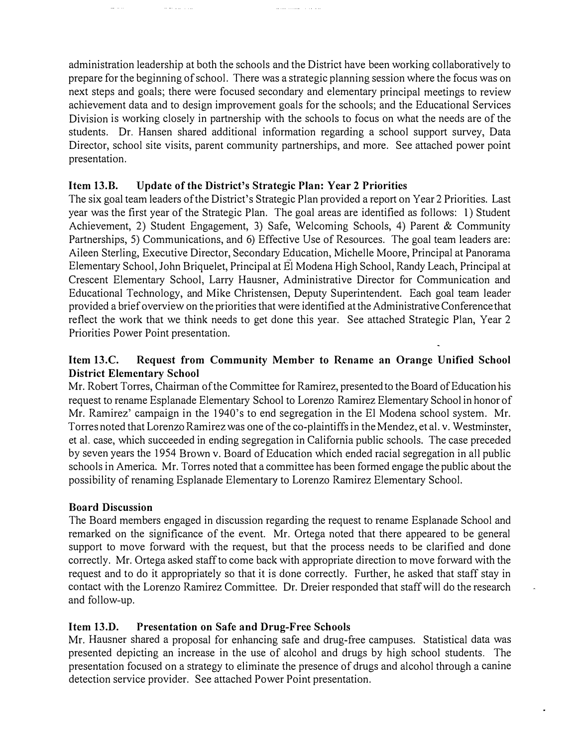administration leadership at both the schools and the District have been working collaboratively to prepare for the beginning of school. There was a strategic planning session where the focus was on next steps and goals; there were focused secondary and elementary principal meetings to review achievement data and to design improvement goals for the schools; and the Educational Services Division is working closely in partnership with the schools to focus on what the needs are of the students. Dr. Hansen shared additional information regarding a school support survey, Data Director, school site visits, parent community partnerships, and more. See attached power point presentation.

المتحادين المتمدد للمنا

## Item 13.B. Update of the District's Strategic Plan: Year 2 Priorities

and a straight

The six goal team leaders of the District's Strategic Plan provided a report on Year 2 Priorities. Last year was the first year of the Strategic Plan. The goal areas are identified as follows: I) Student Achievement, 2) Student Engagement, 3) Safe, Welcoming Schools, 4) Parent & Community Partnerships, 5) Communications, and 6) Effective Use of Resources. The goal team leaders are: Aileen Sterling, Executive Director, Secondary Education, Michelle Moore, Principal at Panorama Elementary School, John Briquelet, Principal at El Modena High School, Randy Leach, Principal at Crescent Elementary School, Larry Hausner, Administrative Director for Communication and Educational Technology, and Mike Christensen, Deputy Superintendent. Each goal team leader provided a brief overview on the priorities that were identified at the Administrative Conference that reflect the work that we think needs to get done this year. See attached Strategic Plan, Year 2 Priorities Power Point presentation.

## Item 13.C. Request from Community Member to Rename an Orange Unified School District Elementary School

Mr. Robert Torres, Chairman of the Committee for Ramirez, presented to the Board of Education his request to rename Esplanade Elementary School to Lorenzo Ramirez Elementary School in honor of Mr. Ramirez' campaign in the 1940's to end segregation in the El Modena school system. Mr. Torres noted that Lorenzo Ramirez was one of the co-plaintiffs in the Mendez, et al. v. Westminster, et a!. case, which succeeded in ending segregation in California public schools. The case preceded by seven years the 1 954 Brown v. Board of Education which ended racial segregation in all public schools in America. Mr. Torres noted that a committee has been formed engage the public about the possibility of renaming Esplanade Elementary to Lorenzo Ramirez Elementary School.

## Board Discussion

The Board members engaged in discussion regarding the request to rename Esplanade School and remarked on the significance of the event. Mr. Ortega noted that there appeared to be general support to move forward with the request, but that the process needs to be clarified and done correctly. Mr. Ortega asked staff to come back with appropriate direction to move forward with the request and to do it appropriately so that it is done correctly. Further, he asked that staff stay in contact with the Lorenzo Ramirez Committee. Dr. Dreier responded that staff will do the research and follow-up.

## Item 13.D. Presentation on Safe and Drug-Free Schools

Mr. Hausner shared a proposal for enhancing safe and drug-free campuses. Statistical data was presented depicting an increase in the use of alcohol and drugs by high school students. The presentation focused on a strategy to eliminate the presence of drugs and alcohol through a canine detection service provider. See attached Power Point presentation.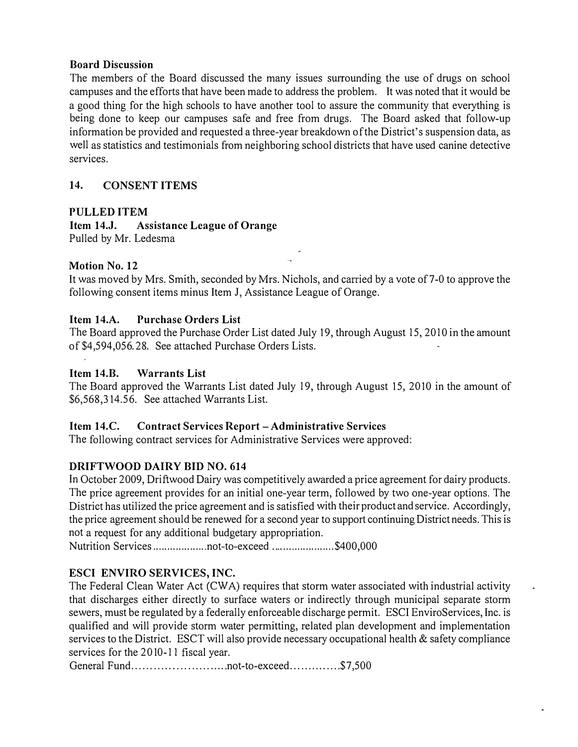#### Board Discussion

The members of the Board discussed the many issues surrounding the use of drugs on school campuses and the efforts that have been made to address the problem. It was noted that it would be a good thing for the high schools to have another tool to assure the community that everything is being done to keep our campuses safe and free from drugs. The Board asked that follow-up information be provided and requested a three-year breakdown of the District's suspension data, as well as statistics and testimonials from neighboring school districts that have used canine detective services.

## 14. CONSENT ITEMS

#### PULLED ITEM

Item 14.J. Assistance League of Orange Pulled by Mr. Ledesma

#### Motion No. 12

It was moved by Mrs. Smith, seconded by Mrs. Nichols, and carried by a vote of 7-0 to approve the following consent items minus Item J, Assistance League of Orange.

#### Item 14.A. Purchase Orders List

The Board approved the Purchase Order List dated July 19, through August 15, 2010 in the amount of \$4,594,056.28. See attached Purchase Orders Lists.

#### Item 14.B. Warrants List

The Board approved the Warrants List dated July 19, through August 15, 2010 in the amount of \$6,568,314.56. See attached Warrants List.

#### Item 14.C. Contract Services Report- Administrative Services

The following contract services for Administrative Services were approved:

## DRIFTWOOD DAIRY BID NO. 614

In October 2009, Driftwood Dairy was competitively awarded a price agreement for dairy products. The price agreement provides for an initial one-year term, followed by two one-year options. The District has utilized the price agreement and is satisfied with their product and service. Accordingly, the price agreement should be renewed for a second year to support continuing District needs. This is not a request for any additional budgetary appropriation.

Nutrition Services ................... not-to-exceed ...................... \$400,000

## ESCI ENVIRO SERVICES, INC.

The Federal Clean Water Act (CW A) requires that storm water associated with industrial activity that discharges either directly to surface waters or indirectly through municipal separate storm sewers, must be regulated by a federally enforceable discharge permit. ESCI EnviroServices, Inc. is qualified and will provide storm water permitting, related plan development and implementation services to the District. ESCT will also provide necessary occupational health & safety compliance services for the 2010-11 fiscal year.

General Fund .......................... not-to-exceed .............. \$7,500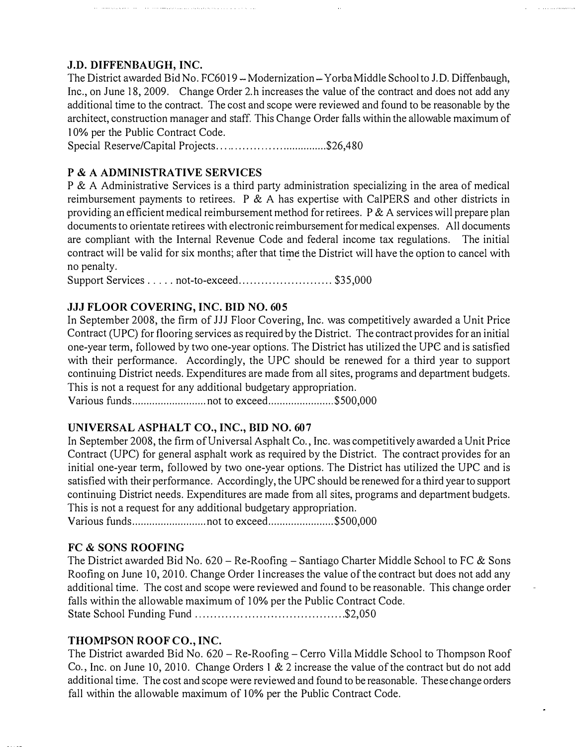## J.D. DIFFENBAUGH, INC.

The District awarded Bid No. FC6019 – Modernization – Yorba Middle School to J.D. Diffenbaugh, Inc., on June 18, 2009. Change Order 2.h increases the value of the contract and does not add any additional time to the contract. The cost and scope were reviewed and found to be reasonable by the architect, construction manager and staff. This Change Order falls within the allowable maximum of I 0% per the Public Contract Code.

Special Reserve/Capital Projects..................................\$26,480

#### P & A ADMINISTRATIVE SERVICES

P & A Administrative Services is a third party administration specializing in the area of medical reimbursement payments to retirees. P  $\&$  A has expertise with CalPERS and other districts in providing an efficient medical reimbursement method for retirees.  $P \& A$  services will prepare plan documents to orientate retirees with electronic reimbursement for medical expenses. All documents are compliant with the Internal Revenue Code and federal income tax regulations. The initial contract will be valid for six months; after that time the District will have the option to cancel with no penalty.

Support Services . . . . . not-to-exceed.............................. \$35,000

## JJJ FLOOR COVERING, INC. BID NO. 605

In September 2008, the firm of JJJ Floor Covering, Inc. was competitively awarded a Unit Price Contract (UPC) for flooring services as required by the District. The contract provides for an initial one-year term, followed by two one-year options. The District has utilized the UPC and is satisfied with their performance. Accordingly, the UPC should be renewed for a third year to support continuing District needs. Expenditures are made from all sites, programs and department budgets. This is not a request for any additional budgetary appropriation.

Various funds .......................... not to exceed ....................... \$500,000

#### UNIVERSAL ASPHALT CO., INC., BID NO. 607

In September 2008, the firm of Universal Asphalt Co., Inc. was competitively awarded a Unit Price Contract (UPC) for general asphalt work as required by the District. The contract provides for an initial one-year term, followed by two one-year options. The District has utilized the UPC and is satisfied with their performance. Accordingly, the UPC should be renewed for a third year to support continuing District needs. Expenditures are made from all sites, programs and department budgets. This is not a request for any additional budgetary appropriation.

Various funds .......................... not to exceed ....................... \$500,000

#### FC & SONS ROOFING

The District awarded Bid No.  $620$  – Re-Roofing – Santiago Charter Middle School to FC & Sons Roofing on June 10, 2010. Change Order lincreases the value of the contract but does not add any additional time. The cost and scope were reviewed and found to be reasonable. This change order falls within the allowable maximum of 10% per the Public Contract Code. State School Funding Fund ........................................ \$2,050

## THOMPSON ROOF CO., INC.

The District awarded Bid No. 620 - Re-Roofing - Cerro Villa Middle School to Thompson Roof Co., Inc. on June 10,2010. Change Orders I & 2 increase the value of the contract but do not add additional time. The cost and scope were reviewed and found to be reasonable. These change orders fall within the allowable maximum of 10% per the Public Contract Code.

 $\ddot{\phantom{0}}$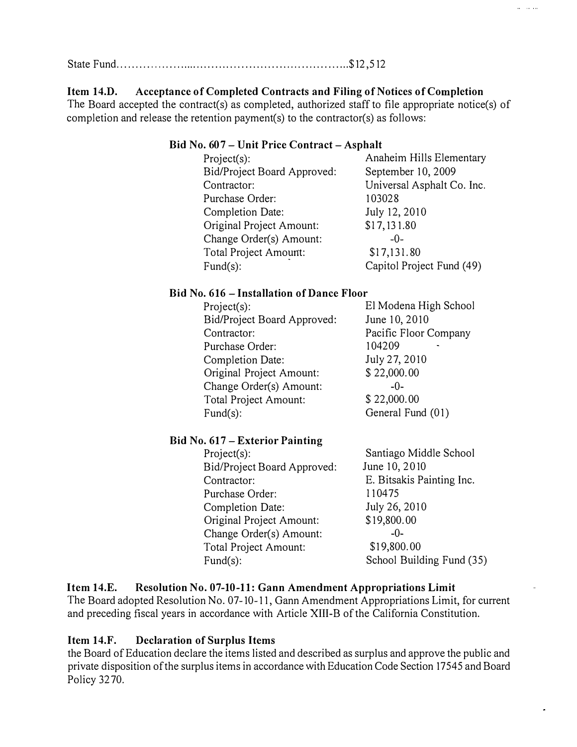State Fund ................. . . . . ......... .... .......................... ... \$12,512

#### Item 14.D. Acceptance of Completed Contracts and Filing of Notices of Completion

The Board accepted the contract(s) as completed, authorized staff to file appropriate notice(s) of completion and release the retention payment(s) to the contractor(s) as follows:

#### Bid No. 607- Unit Price Contract- Asphalt

| Project(s):                 | Anaheim Hills Elementary   |
|-----------------------------|----------------------------|
| Bid/Project Board Approved: | September 10, 2009         |
| Contractor:                 | Universal Asphalt Co. Inc. |
| Purchase Order:             | 103028                     |
| Completion Date:            | July 12, 2010              |
| Original Project Amount:    | \$17,131.80                |
| Change Order(s) Amount:     | $-0-$                      |
| Total Project Amount:       | \$17,131.80                |
| Fund $(s)$ :                | Capitol Project Fund (49)  |

#### Bid No. 616- Installation of Dance Floor

| Project(s):                 | El Modena High School |
|-----------------------------|-----------------------|
| Bid/Project Board Approved: | June 10, 2010         |
| Contractor:                 | Pacific Floor Company |
| Purchase Order:             | 104209                |
| Completion Date:            | July 27, 2010         |
| Original Project Amount:    | \$22,000.00           |
| Change Order(s) Amount:     | $-0-$                 |
| Total Project Amount:       | \$22,000.00           |
| $Fund(s)$ :                 | General Fund (01)     |
|                             |                       |

## Bid No. 617- Exterior Painting

Project(s): Bid/Project Board Approved: Contractor: Purchase Order: Completion Date: Original Project Amount: Change Order(s) Amount: Total Project Amount: Fund(s):

Santiago Middle School June 10, 2010 E. Bitsakis Painting Inc. 11 0475 July 26, 2010 \$19,800.00 -0- \$1 9,800.00 School Building Fund (35) لتكافئ

#### Item 14.E. Resolution No. 07-10-11: Gann Amendment Appropriations Limit The Board adopted Resolution No. 07-10-11, Gann Amendment Appropriations Limit, for current and preceding fiscal years in accordance with Article XIII-B of the California Constitution.

## Item 14.F. Declaration of Surplus Items

the Board of Education declare the items listed and described as surplus and approve the public and private disposition of the surplus items in accordance with Education Code Section 17545 and Board Policy 3270.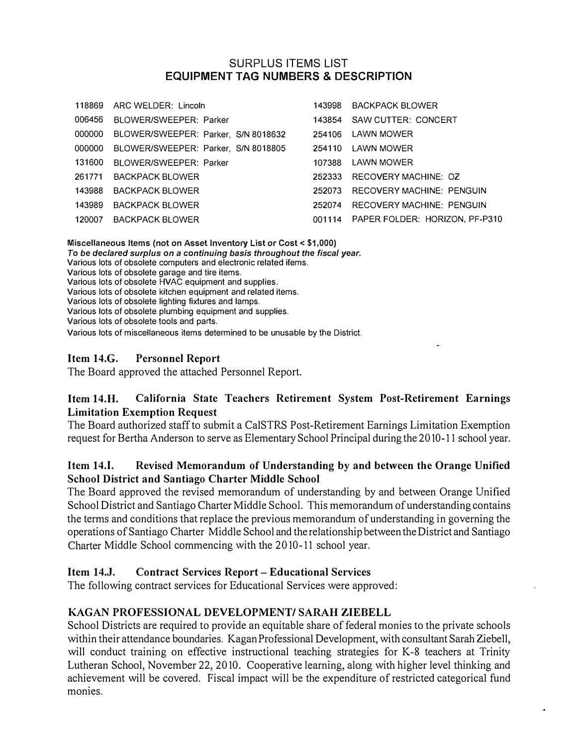## SURPLUS ITEMS LIST EQUIPMENT TAG NUMBERS & DESCRIPTION

|        | 118869 ARC WELDER: Lincoln          | 143998 | BACKPACK BLOWER                       |
|--------|-------------------------------------|--------|---------------------------------------|
| 006456 | BLOWER/SWEEPER: Parker              | 143854 | SAW CUTTER: CONCERT                   |
| 000000 | BLOWER/SWEEPER: Parker, S/N 8018632 | 254106 | LAWN MOWER                            |
| 000000 | BLOWER/SWEEPER: Parker, S/N 8018805 | 254110 | LAWN MOWER                            |
| 131600 | BLOWER/SWEEPER: Parker              | 107388 | LAWN MOWER                            |
|        | 261771 BACKPACK BLOWER              | 252333 | RECOVERY MACHINE: OZ                  |
| 143988 | BACKPACK BI OWER                    | 252073 | <b>RECOVERY MACHINE: PENGUIN</b>      |
| 143989 | <b>BACKPACK BLOWER</b>              | 252074 | <b>RECOVERY MACHINE: PENGUIN</b>      |
| 120007 | <b>BACKPACK BLOWER</b>              |        | 001114 PAPER FOLDER: HORIZON, PF-P310 |

Miscellaneous Items (not on Asset Inventory List or Cost< \$1,000) To be declared surplus on a continuing basis throughout the fiscal year. Various lots of obsolete computers and electronic related ifems. Various lots of obsolete garage and tire items. Various lots of obsolete HVAC equipment and supplies. Various lots of obsolete kitchen equipment and related items. Various lots of obsolete lighting fixtures and lamps. Various lots of obsolete plumbing equipment and supplies. Various lots of obsolete tools and parts. Various lots of miscellaneous items determined to be unusable by the District.

#### Item 14.G. Personnel Report

The Board approved the attached Personnel Report.

## Item 14.H. California State Teachers Retirement System Post-Retirement Earnings Limitation Exemption Request

The Board authorized staff to submit a CalSTRS Post-Retirement Earnings Limitation Exemption request for Bertha Anderson to serve as Elementary School Principal during the 2010-11 school year.

## Item 14.1. Revised Memorandum of Understanding by and between the Orange Unified School District and Santiago Charter Middle School

The Board approved the revised memorandum of understanding by and between Orange Unified School District and Santiago Charter Middle School. This memorandum of understanding contains the terms and conditions that replace the previous memorandum of understanding in governing the operations of Santiago Charter Middle School and the relationship between the District and Santiago Charter Middle School commencing with the 2010-11 school year.

## Item 14.J. Contract Services Report- Educational Services

The following contract services for Educational Services were approved:

## KAGAN PROFESSIONAL DEVELOPMENT/ SARAH ZIEBELL

School Districts are required to provide an equitable share of federal monies to the private schools within their attendance boundaries. Kagan Professional Development, with consultant Sarah Ziebell, will conduct training on effective instructional teaching strategies for K-8 teachers at Trinity Lutheran School, November 22, 2010. Cooperative learning, along with higher level thinking and achievement will be covered. Fiscal impact will be the expenditure of restricted categorical fund monies.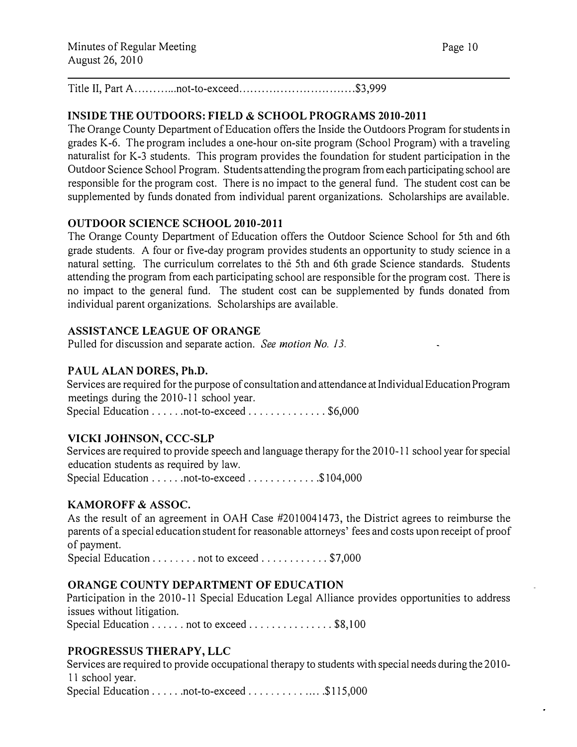Title II, Part A ............ not-to-exceed ............................... \$3,999

## INSIDE THE OUTDOORS: FIELD & SCHOOL PROGRAMS 2010-2011

The Orange County Department of Education offers the Inside the Outdoors Program for students in grades K-6. The program includes a one-hour on-site program (School Program) with a traveling naturalist for K-3 students. This program provides the foundation for student participation in the Outdoor Science School Program. Students attending the program from each participating school are responsible for the program cost. There is no impact to the general fund. The student cost can be supplemented by funds donated from individual parent organizations. Scholarships are available.

#### OUTDOOR SCIENCE SCHOOL 2010-2011

The Orange County Department of Education offers the Outdoor Science School for 5th and 6th grade students. A four or five-day program provides students an opportunity to study science in a natural setting. The curriculum correlates to the 5th and 6th grade Science standards. Students attending the program from each participating school are responsible for the program cost. There is no impact to the general fund. The student cost can be supplemented by funds donated from individual parent organizations. Scholarships are available.

#### ASSISTANCE LEAGUE OF ORANGE

Pulled for discussion and separate action. See motion No. 13.

#### PAUL ALAN DORES, Ph.D.

Services are required for the purpose of consultation and attendance at Individual Education Program meetings during the 2010-11 school year. Special Education . . . . . . not-to-exceed . . . . . . . . . . . . \$6,000

## VICKI JOHNSON, CCC-SLP

Services are required to provide speech and language therapy for the 2010-11 school year for special education students as required by law. Special Education . . . . . . not-to-exceed . . . . . . . . . . . . \$104,000

#### KAMOROFF & ASSOC.

As the result of an agreement in OAH Case #2010041473, the District agrees to reimburse the parents of a special education student for reasonable attorneys' fees and costs upon receipt of proof of payment.

Special Education . . . . . . . . not to exceed . . . . . . . . . . . \$7,000

## ORANGE COUNTY DEPARTMENT OF EDUCATION

Participation in the 2010-11 Special Education Legal Alliance provides opportunities to address issues without litigation.

Special Education . . . . . . not to exceed . . . . . . . . . . . . . \$8,100

## PROGRESSUS THERAPY, LLC

Services are required to provide occupational therapy to students with special needs during the 2010-Il school year. Special Education . . . . . . not-to-exceed . . . . . . . . . . . . . \$115,000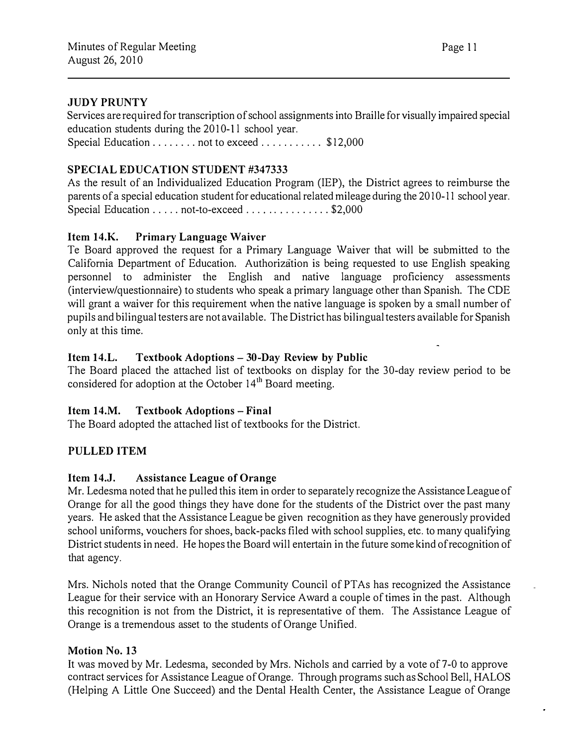#### JUDY PRUNTY

Services are required for transcription of school assignments into Braille for visually impaired special education students during the  $2010-11$  school year. Special Education . . . . . . . . not to exceed . . . . . . . . . . \$12,000

#### SPECIAL EDUCATION STUDENT #347333

As the result of an Individualized Education Program (IEP), the District agrees to reimburse the parents of a special education student for educational related mileage during the 2010-11 school year. Special Education . . . . . not-to-exceed . . . . . . . . . . . . . \$2,000

#### Item 14.K. Primary Language Waiver

Te Board approved the request for a Primary Language Waiver that will be submitted to the California Department of Education. Authorization is being requested to use English speaking personnel to administer the English and native language proficiency assessments (interview/questionnaire) to students who speak a primary language other than Spanish. The CDE will grant a waiver for this requirement when the native language is spoken by a small number of pupils and bilingual testers are not available. The District has bilingual testers available for Spanish only at this time.

#### Item 14.L. Textbook Adoptions- 30-Day Review by Public

The Board placed the attached list of textbooks on display for the 30-day review period to be considered for adoption at the October 14<sup>th</sup> Board meeting.

#### Item 14.M. Textbook Adoptions- Final

The Board adopted the attached list of textbooks for the District.

## PULLED ITEM

#### Item 14.J. Assistance League of Orange

Mr. Ledesma noted that he pulled this item in order to separately recognize the Assistance League of Orange for all the good things they have done for the students of the District over the past many years. He asked that the Assistance League be given recognition as they have generously provided school uniforms, vouchers for shoes, back-packs filed with school supplies, etc. to many qualifying District students in need. He hopes the Board will entertain in the future some kind of recognition of that agency.

Mrs. Nichols noted that the Orange Community Council of PTAs has recognized the Assistance League for their service with an Honorary Service Award a couple of times in the past. Although this recognition is not from the District, it is representative of them. The Assistance League of Orange is a tremendous asset to the students of Orange Unified.

#### Motion No. 13

It was moved by Mr. Ledesma, seconded by Mrs. Nichols and carried by a vote of 7-0 to approve contract services for Assistance League of Orange. Through programs such as School Bell, HALOS (Helping A Little One Succeed) and the Dental Health Center, the Assistance League of Orange